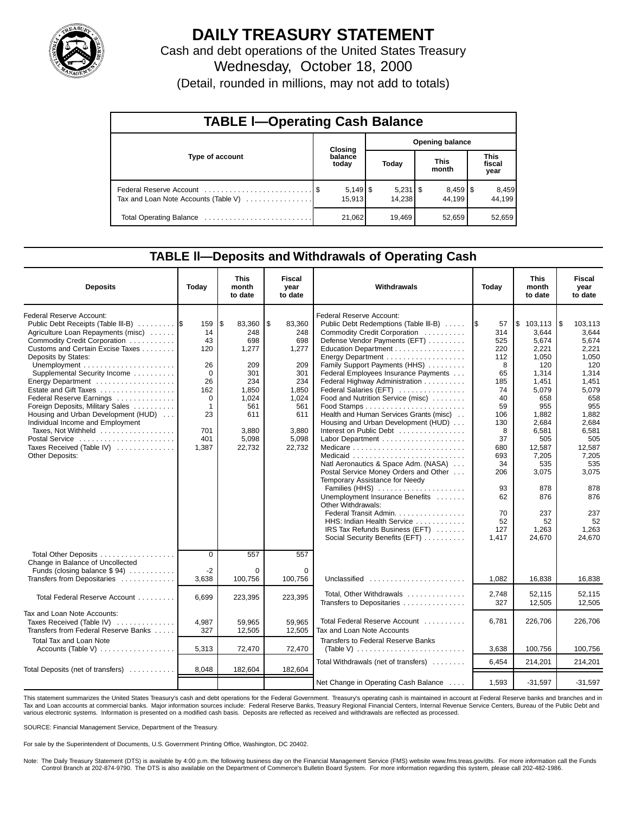

## **DAILY TREASURY STATEMENT**

Cash and debt operations of the United States Treasury Wednesday, October 18, 2000

(Detail, rounded in millions, may not add to totals)

| <b>TABLE I-Operating Cash Balance</b> |  |                  |                        |                        |  |                                 |                               |                 |  |  |
|---------------------------------------|--|------------------|------------------------|------------------------|--|---------------------------------|-------------------------------|-----------------|--|--|
|                                       |  | <b>Closing</b>   | <b>Opening balance</b> |                        |  |                                 |                               |                 |  |  |
| Type of account                       |  | balance<br>today |                        | Today                  |  | <b>This</b><br>month            | <b>This</b><br>fiscal<br>year |                 |  |  |
| Tax and Loan Note Accounts (Table V)  |  | 15.913           |                        | $5,231$   \$<br>14,238 |  | $8,459$ $\frac{8}{3}$<br>44.199 |                               | 8,459<br>44,199 |  |  |
|                                       |  | 21,062           |                        | 19,469                 |  | 52,659                          |                               | 52,659          |  |  |

### **TABLE ll—Deposits and Withdrawals of Operating Cash**

| <b>Deposits</b>                                                                                                                                                          | Today                                    | <b>This</b><br>month<br>to date      | <b>Fiscal</b><br>year<br>to date    | Withdrawals                                                                                                                                                | Today                          | <b>This</b><br>month<br>to date         | <b>Fiscal</b><br>year<br>to date          |
|--------------------------------------------------------------------------------------------------------------------------------------------------------------------------|------------------------------------------|--------------------------------------|-------------------------------------|------------------------------------------------------------------------------------------------------------------------------------------------------------|--------------------------------|-----------------------------------------|-------------------------------------------|
| Federal Reserve Account:<br>Public Debt Receipts (Table III-B)<br>Agriculture Loan Repayments (misc)<br>Commodity Credit Corporation<br>Customs and Certain Excise Taxes | 159<br>14<br>43<br>120                   | 83,360<br>l\$<br>248<br>698<br>1,277 | \$<br>83,360<br>248<br>698<br>1,277 | Federal Reserve Account:<br>Public Debt Redemptions (Table III-B)<br>Commodity Credit Corporation<br>Defense Vendor Payments (EFT)<br>Education Department | 57<br>1\$<br>314<br>525<br>220 | \$103,113<br>3.644<br>5,674<br>2,221    | 103,113<br>1\$<br>3,644<br>5,674<br>2,221 |
| Deposits by States:<br>Supplemental Security Income<br>Energy Department<br>Estate and Gift Taxes                                                                        | 26<br>$\Omega$<br>26<br>162              | 209<br>301<br>234<br>1,850           | 209<br>301<br>234<br>1,850          | Family Support Payments (HHS)<br>Federal Employees Insurance Payments<br>Federal Highway Administration<br>Federal Salaries (EFT)                          | 112<br>8<br>65<br>185<br>74    | 1,050<br>120<br>1,314<br>1,451<br>5,079 | 1,050<br>120<br>1,314<br>1,451<br>5,079   |
| Federal Reserve Earnings<br>Foreign Deposits, Military Sales<br>Housing and Urban Development (HUD)<br>Individual Income and Employment<br>Taxes, Not Withheld           | $\mathbf 0$<br>$\mathbf{1}$<br>23<br>701 | 1,024<br>561<br>611<br>3,880         | 1,024<br>561<br>611<br>3.880        | Food and Nutrition Service (misc)<br>Health and Human Services Grants (misc)<br>Housing and Urban Development (HUD)<br>Interest on Public Debt             | 40<br>59<br>106<br>130<br>8    | 658<br>955<br>1,882<br>2,684<br>6,581   | 658<br>955<br>1,882<br>2,684<br>6,581     |
| Postal Service<br>Taxes Received (Table IV)<br>Other Deposits:                                                                                                           | 401<br>1,387                             | 5,098<br>22,732                      | 5,098<br>22,732                     | Natl Aeronautics & Space Adm. (NASA)<br>Postal Service Money Orders and Other                                                                              | 37<br>680<br>693<br>34<br>206  | 505<br>12,587<br>7,205<br>535<br>3,075  | 505<br>12,587<br>7,205<br>535<br>3,075    |
|                                                                                                                                                                          |                                          |                                      |                                     | Temporary Assistance for Needy<br>Families (HHS)<br>Unemployment Insurance Benefits<br>Other Withdrawals:<br>Federal Transit Admin.                        | 93<br>62<br>70                 | 878<br>876<br>237                       | 878<br>876<br>237                         |
|                                                                                                                                                                          |                                          |                                      |                                     | HHS: Indian Health Service<br>IRS Tax Refunds Business (EFT)<br>Social Security Benefits (EFT)                                                             | 52<br>127<br>1,417             | 52<br>1,263<br>24,670                   | 52<br>1,263<br>24,670                     |
| Total Other Deposits<br>Change in Balance of Uncollected                                                                                                                 | $\mathbf 0$<br>$-2$                      | 557<br>$\Omega$                      | 557<br>$\Omega$                     |                                                                                                                                                            |                                |                                         |                                           |
| Funds (closing balance \$94)<br>Transfers from Depositaries                                                                                                              | 3,638                                    | 100,756                              | 100,756                             | Unclassified                                                                                                                                               | 1,082                          | 16,838                                  | 16,838                                    |
| Total Federal Reserve Account                                                                                                                                            | 6.699                                    | 223,395                              | 223,395                             | Total, Other Withdrawals<br>Transfers to Depositaries                                                                                                      | 2,748<br>327                   | 52.115<br>12,505                        | 52.115<br>12,505                          |
| Tax and Loan Note Accounts:<br>Taxes Received (Table IV)<br>Transfers from Federal Reserve Banks                                                                         | 4,987<br>327                             | 59,965<br>12,505                     | 59.965<br>12,505                    | Total Federal Reserve Account<br>Tax and Loan Note Accounts                                                                                                | 6.781                          | 226.706                                 | 226.706                                   |
| <b>Total Tax and Loan Note</b><br>Accounts (Table V) $\dots \dots \dots \dots \dots$                                                                                     | 5,313                                    | 72,470                               | 72,470                              | Transfers to Federal Reserve Banks                                                                                                                         | 3,638                          | 100,756                                 | 100,756                                   |
| Total Deposits (net of transfers)                                                                                                                                        | 8,048                                    | 182,604                              | 182,604                             | Total Withdrawals (net of transfers)                                                                                                                       | 6.454                          | 214,201                                 | 214,201                                   |
|                                                                                                                                                                          |                                          |                                      |                                     | Net Change in Operating Cash Balance                                                                                                                       | 1,593                          | $-31,597$                               | $-31,597$                                 |

This statement summarizes the United States Treasury's cash and debt operations for the Federal Government. Treasury's operating cash is maintained in account at Federal Reserve banks and branches and in<br>Tax and Loan accou various electronic systems. Information is presented on a modified cash basis. Deposits are reflected as received and withdrawals are reflected as processed.

SOURCE: Financial Management Service, Department of the Treasury.

For sale by the Superintendent of Documents, U.S. Government Printing Office, Washington, DC 20402.

Note: The Daily Treasury Statement (DTS) is available by 4:00 p.m. the following business day on the Financial Management Service (FMS) website www.fms.treas.gov/dts. For more information call the Funds Control Branch at 202-874-9790. The DTS is also available on the Department of Commerce's Bulletin Board System. For more information regarding this system, please call 202-482-1986.